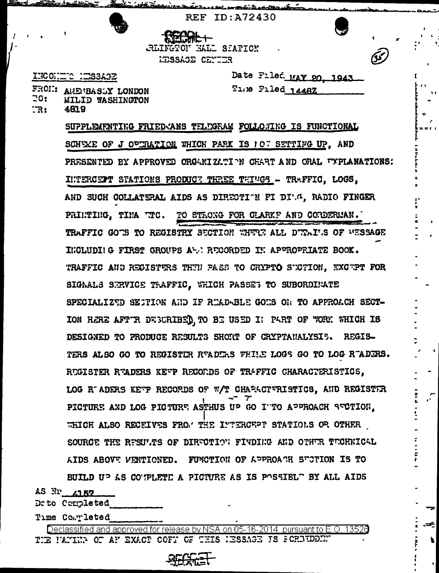

e a <del>leth Main</del>serien i

**REF ID: A72430** 

<u> and transversion</u>

RLINGTON HALL SIATION **IESSAGE CENTER** 

INCONTE NESSAGE

4819

**20:** 

 $\mathbb{T}R$ :

FRON: ANEWBASSY LONDON

**MILID WASHINGTON** 

Date Filed MAY 20, 1943 The Filed 1448Z

SUPPLEMENTING FRIED ANS TELEGRAM FOLLOWING IS FUNCTIONAL SCHEME OF J OPIRATION WHICH PARK IS ICT SETTIFG UP, AND PRESENTED BY APPROVED ORGANIZATION CHART AND ORAL FYPLANATIONS: INTERCEPT STATIONS PRODUCT THREE THINGS - TRAFFIC, LOGS, AND SUCH COLLATERAL AIDS AS DIRECTION FI DIGG, RADIO FINGER PRINTING, TINA TTC. TO STRONG FOR CLARKF AND CORDERMAN. TRAFFIC GOTS TO REGISTRY SECTION WHERE ALL DURAI'S OF WESSAGE INCLUDIIG FIRST GROUPS A-A RECORDED IN APPROPRIATE BOOK. TRAFFIC AND REGISTERS THEN PASS TO CRYPTO SUCTION, EXCEPT FOR SIGAALS SERVICE TRAFFIC, WHICH PASSES TO SUBORDINATE SPECIALIZED SECTION AND IF READ-BLE GONS ON TO APPROACH SECT-ION HERE AFTIR DEGORIBED TO BE USED I: PART OF WORK WHICH IS DESIGNED TO PRODUCE RESULTS SHORT OF CRYPTANALYSI5. REGIS-TERS ALSO GO TO REGISTIR READERS FHILE LOGS GO TO LOG READERS. RUGISTER RUADERS KEUP RECORDS OF TRAFFIC CHARACTERISTICS, LOG R ADERS KETP RECORDS OF W/T CHARACTURISTICS. AND REGISTER PICTURE AND LOG PICTURE ASTHUS UP GO I'TO APPROACH SECTION. WHICH ALSO RECEIVES FROM THE INTERCEPT STATIONS OR OTHER SOURGE THE RESULTS OF DIRECTION FINDING AND OTHER TECHNICAL AIDS ABOVE VENTIONED. FUNCTION OF APPROACH SUCTION IS TO BUILD UP AS CO'FLETE A PICTURE AS IS POSSIBL" BY ALL AIDS

AS Nr 4157

Deto Completed

Time Completed

Declassified and approved for release by NSA on 05-16-2014 pursuant to E.O. 13526 THE PATING OF AF EXACT COFF OF THIS HESSAGE IS FOREIDDENT

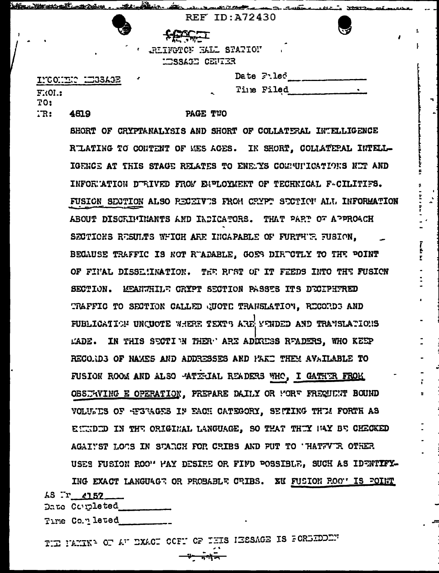|                  |   | Literature of complete and the finance of the complete and the complete of the complete of the second |  |
|------------------|---|-------------------------------------------------------------------------------------------------------|--|
|                  |   | <b>REF ID: A72430</b>                                                                                 |  |
|                  | € | لتشتبطها                                                                                              |  |
|                  |   | . RUINGTOF RALL STATION                                                                               |  |
|                  |   | <b>HEFTIES</b> CENTER                                                                                 |  |
| INCONDIC LEBSAGE |   | Date $F:$ led                                                                                         |  |

**Time Filed** 

 $F.01.:$ **TO:** 

4819  $TR:$ 

## PAGE TWO

SHORT OF CRYPTANALYSIS AND SHORT OF COLLATERAL INTELLIGENCE RIATING TO CONTENT OF MES AGES. IN SHORT, COLLATEPAL INTELL-IGENCE AT THIS STAGE RELATES TO ENEMYS COMMUNICATIONS NOT AND INFORMATION DURIVED FROM ENPLOYMENT OF TECHNICAL F-CILITIFS. FUSION SECTION ALSO RECEIVES FROM CRYPT SECTION ALL INFORMATION ABOUT DISCRIMINANTS AND INDICATORS. THAT PART OF APPROACH SECTIONS RESULTS WHICH ARE INCAPABLE OF FURTHER FUSION. BECAUSE TRAFFIC IS NOT RUADABLE. GOES DIRUCTLY TO THE POINT OF FINAL DISSENINATION. THE REST OF IT FEEDS INTO THE FUSION SECTION. READVILLE CRYPT SECTION PASSES ITS DECIPHTRED TRAFFIC TO SECTION CALLED QUOTE TRANSLATION, RECORDS AND FUBLICATION UNCUOTE WHERE TEXTS ARE MENDED AND TRANSLATIONS LADE. IN THIS SECTI N THER ARE ADDRESS READERS, WHO KEEP RECORDS OF NAMES AND ADDRESSES AND PAKE THEM AVAILABLE TO FUSION ROOM AND ALSO - ATTELAL READERS WHO, I GATHER FROM OBSJAVING E OPERATION, PREPARE DAILY OR WORF FREQUENT BOUND VOLUMES OF REGRAGES IN EACH CATEGORY, SETTING THIM FORTH AS EINDED IN THE ORIGINAL LANGUAGE, SO THAT THEY MAY BE CHECKED AGAINST LOOS IN STARCH FOR CRIBS AND PUT TO 'HATTY'R OTHER USES FUSION ROO" MAY DESIRE OR FIND POSSIBLE, SUCH AS IDENTIFY-ING EXACT LANGUAGE OR PROBABLE CRIBS. XK FUSION ROOT IS FOINT

AS Tr 4152

Date Coupleted

Time Co.y leted

TIE PANINA OF AT EXACT OCFT OF THIS HESSAGE IS FOREIDED.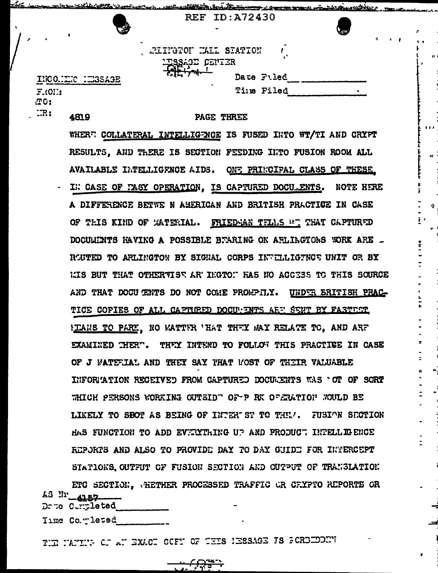|            | <u>merintan ini Ar</u> | <u>ے موقعیت میں موقع کے م</u> |
|------------|------------------------|-------------------------------|
|            | <b>REF ID: A72430</b>  |                               |
|            | $\sim$                 |                               |
|            |                        |                               |
|            | RIINGTON KALL STATION  |                               |
|            |                        |                               |
|            | ESSAGE CENTER          |                               |
| INCOLLET I | Date Filed             |                               |
| $F.01$ :   | ٠<br>Time Filed        |                               |
|            |                        |                               |
| TC:        |                        |                               |

**PAGE THREE** 

 $\mathfrak{p}_\perp$ 

WHERE COLLATERAL INTELLIGENCE IS FUSED INTO WT/TI AND CRYPT RESULTS, AND THERE IS SECTION FEEDING INTO FUSION ROOM ALL AVAILABLE IMTELLIGENCE AIDS. ONE PRINCIPAL CLASS OF THESE I: CASE OF TASY OPERATION, IS CAPTURED DOCU. ENTS. NOTE HERE A DIFFERENCE BETWE N AMERICAN AND BRITISH PRACTICE IN CASE OF THIS KIND OF WATERIAL. FRIEDMAN TELLS AT THAT CAPTURED DOCUMENTS HAVING A POSSIBLE BEARING ON ARLINGTONS WORK ARE \_ ROUTED TO ARLINGTON BY SIGNAL CORPS INVELLIGENCE UNIT OR BY LIS BUT THAT OTHERVIST AR INGTON HAS NO ACCESS TO THIS SOURCE AND THAT DOCU ENTS DO NOT COME PROMPTLY. UNDER BRITISH PRAC-TICE COPIES OF ALL CAPTURED DOCULENTS ARE SENT BY FASTEST HIANS TO PARK. NO WATTER 'HAT THEY MAY RELATE TO, AND ARE EXAMINED THERT. THEY INTEND TO FOLLOW THIS PRACTIEE IN CASE OF J FATERIAL AND THEY SAY THAT FOST OF THEIR VALUABLE INFORMATION RECEIVED FROM CAPTURED DOCULENTS WAS 'OT OF SORT WHICH PERSONS WORKING OUTSID" OF-P RK OFFRATION WOULD BE LIKELY TO SBOT AS BEING OF INTER ST TO THE . FUSION SECTION HAS FUNCTION TO ADD EVENTIAING UP AND PRODUCT INTELLIGENCE REPORTS AND ALSO TO PROVIDE DAY TO DAY GUIDE FOR INTERCEPT STATIONS OUTFUT OF FUSION SECTION AND OUTFUT OF TRANSLATION ETC SECTION, WHETHER PROCESSED TRAFFIC OR CRYPTO REPORTS OR AS Nr 4157

Dete Cumpleted

تتويط

 $\Box R$ :

4819

Time Co. rleted

THE NATIVE OF AN EXACT OCFN OF THIS IESSAGE IS FOREEDED.

<del>د ټوپې</del>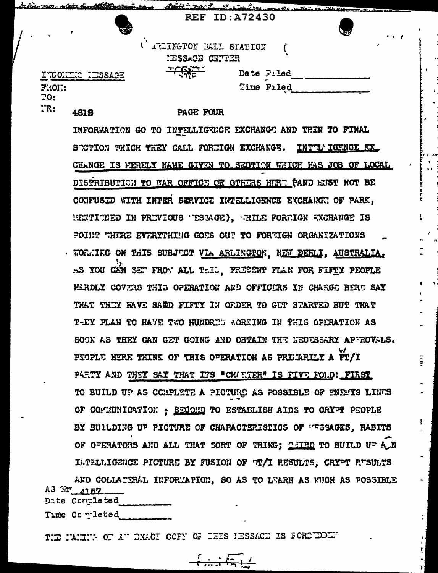|                          | KEF ID:A72450 |  |
|--------------------------|---------------|--|
|                          |               |  |
| U ARLINGTON HALL STATION |               |  |



Strangfishers of the way

Date Filed

Time Filed

INCONTIC ITSSAGE FRON:  $70:$  $TR:$ 4818

<u> aiks Sedikkuszukana, "Ität Isa I.</u>

## PAGE FOUR

IESSAGE CENTER

**- 195** 

INFORMATION GO TO INTELLIGENCE EXCHANGE AND THEN TO FINAL STOTION WHICH THEY CALL FORTIGN EXCHANGE. INTILY IGENCE EX. CHANGE IS FERELY NAME GIVEN TO SECTION WHICH HAS JOB OF LOCAL DISTRIBUTICH TO WAR OFFICE OR OTHERS HURT CAND KUST NOT BE CONFUSED WITH INTER SERVICE INTELLIGENCE EXCHANGE OF PARK, MEMTICHED IN PRIVIOUS "ESSAGE), AHILE FORMIGN WOHANGE IS POINT "HERE EVERYTHING GOES OUT TO FORTIGN ORGANIZATIONS . WORKING ON THIS SUBJUCT VIA ARLINGTON, NEW DEFILI, AUSTRALIA. AS YOU CAN SET FROW ALL TAIL. PRESENT FLAN FOR FIFTY PEOPLE PARDLY COVERS THIS OPERATION AND OFFICERS IN CHARGE HERE SAY THAT THIY HAVE SARD FIFTY IN ORDER TO GUT STARTED BUT THAT T-EY PLAN TO HAVE TWO HUNDRED MORKING IN THIS OPERATION AS SOOK AS THEY CAN GET GOING AND OBTAIN THE NECESSARY APEROVALS. PEOPLE HERE THINK OF THIS OPERATION AS PRIMARILY A PT/I PARTY AND THEY SAY THAT ITS "CHARTER" IS FIVE FOLD: FIRST TO BUILD UP AS COMPLETE A PICTURE AS POSSIBLE OF ENEMYS LINES OF CONMUNICATION : SECOND TO ESTABLISH AIDS TO CRYPT PEOPLE BY SUILDING UP PICTURE OF CHARACTERISTICS OF PESSAGES, HABITS OF OPERATORS AND ALL THAT SORT OF THING; THIRD TO BUILD UP AN ILTELLIGENCE PICTURE BY FUSION OF TI/I RESULTS, CRYPT RUSULTS

AND COLLATERAL INFORMATION, SO AS TO LEARN AS NUCH AS FOSSIBLE A3 Nr 4152

Date Completed Time Completed

THE NAMING OF AT EXACT OCFY OF THIS IESSACE IS FORETDENT